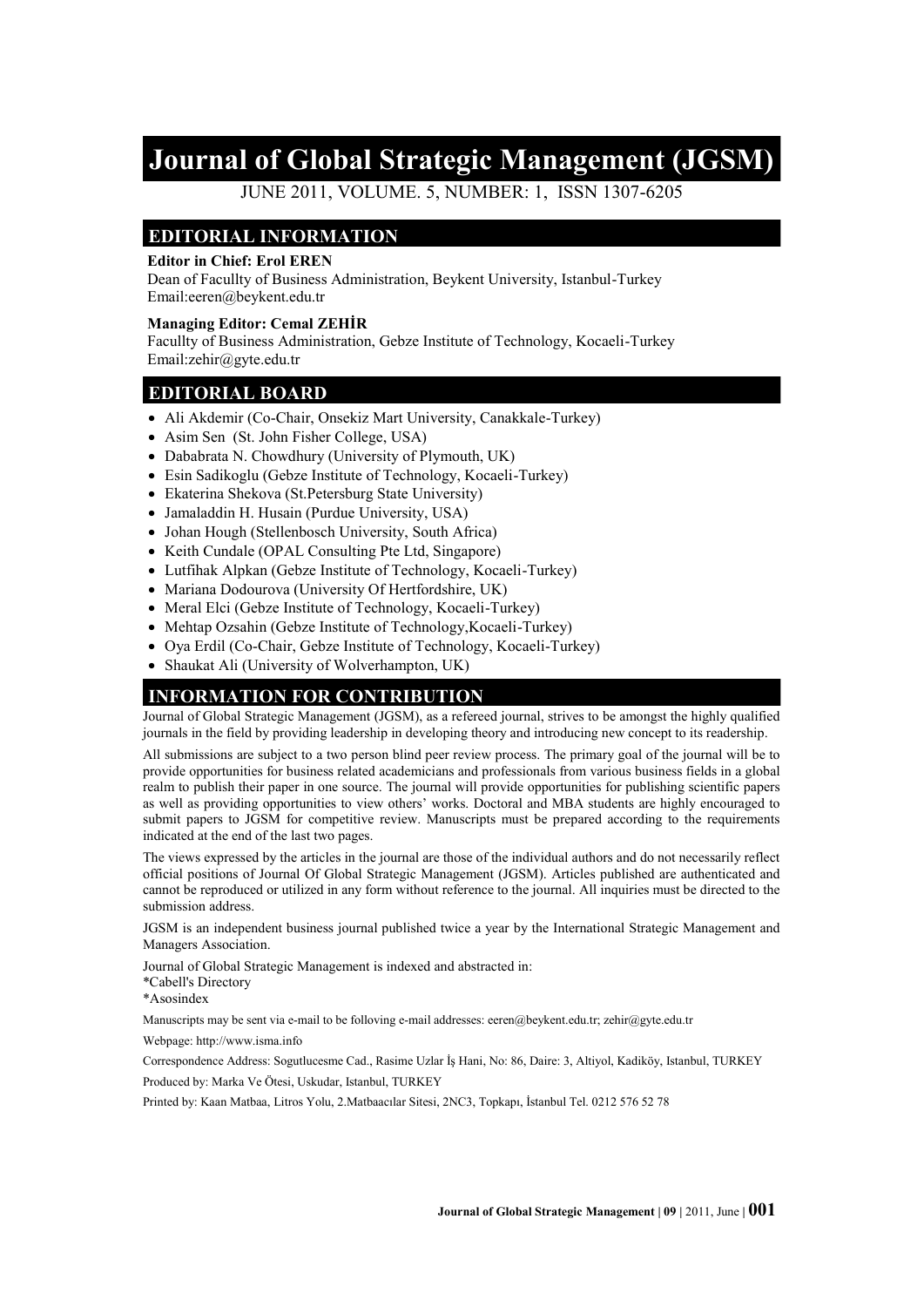# **Journal of Global Strategic Management (JGSM)**

JUNE 2011, VOLUME. 5, NUMBER: 1, ISSN 1307-6205

#### **EDITORIAL INFORMATION**

#### **Editor in Chief: Erol EREN**

Dean of Facullty of Business Administration, Beykent University, Istanbul-Turkey Email:eeren@beykent.edu.tr

#### **Managing Editor: Cemal ZEHİR**

Facullty of Business Administration, Gebze Institute of Technology, Kocaeli-Turkey Email:zehir@gyte.edu.tr

#### **EDITORIAL BOARD**

- Ali Akdemir (Co-Chair, Onsekiz Mart University, Canakkale-Turkey)
- Asim Sen (St. John Fisher College, USA)
- Dababrata N. Chowdhury (University of Plymouth, UK)
- Esin Sadikoglu (Gebze Institute of Technology, Kocaeli-Turkey)
- Ekaterina Shekova (St.Petersburg State University)
- Jamaladdin H. Husain (Purdue University, USA)
- Johan Hough (Stellenbosch University, South Africa)
- Keith Cundale (OPAL Consulting Pte Ltd, Singapore)
- Lutfihak Alpkan (Gebze Institute of Technology, Kocaeli-Turkey)
- Mariana Dodourova (University Of Hertfordshire, UK)
- Meral Elci (Gebze Institute of Technology, Kocaeli-Turkey)
- Mehtap Ozsahin (Gebze Institute of Technology, Kocaeli-Turkey)
- Oya Erdil (Co-Chair, Gebze Institute of Technology, Kocaeli-Turkey)
- Shaukat Ali (University of Wolverhampton, UK)

#### **INFORMATION FOR CONTRIBUTION**

Journal of Global Strategic Management (JGSM), as a refereed journal, strives to be amongst the highly qualified journals in the field by providing leadership in developing theory and introducing new concept to its readership.

All submissions are subject to a two person blind peer review process. The primary goal of the journal will be to provide opportunities for business related academicians and professionals from various business fields in a global realm to publish their paper in one source. The journal will provide opportunities for publishing scientific papers as well as providing opportunities to view others' works. Doctoral and MBA students are highly encouraged to submit papers to JGSM for competitive review. Manuscripts must be prepared according to the requirements indicated at the end of the last two pages.

The views expressed by the articles in the journal are those of the individual authors and do not necessarily reflect official positions of Journal Of Global Strategic Management (JGSM). Articles published are authenticated and cannot be reproduced or utilized in any form without reference to the journal. All inquiries must be directed to the submission address.

JGSM is an independent business journal published twice a year by the International Strategic Management and Managers Association.

Journal of Global Strategic Management is indexed and abstracted in:

\*Cabell's Directory

\*Asosindex

Manuscripts may be sent via e-mail to be folloving e-mail addresses: eeren@beykent.edu.tr; zehir@gyte.edu.tr

Webpage: http://www.isma.info

Correspondence Address: Sogutlucesme Cad., Rasime Uzlar İş Hani, No: 86, Daire: 3, Altiyol, Kadiköy, Istanbul, TURKEY Produced by: Marka Ve Ötesi, Uskudar, Istanbul, TURKEY

Printed by: Kaan Matbaa, Litros Yolu, 2.Matbaacılar Sitesi, 2NC3, Topkapı, İstanbul Tel. 0212 576 52 78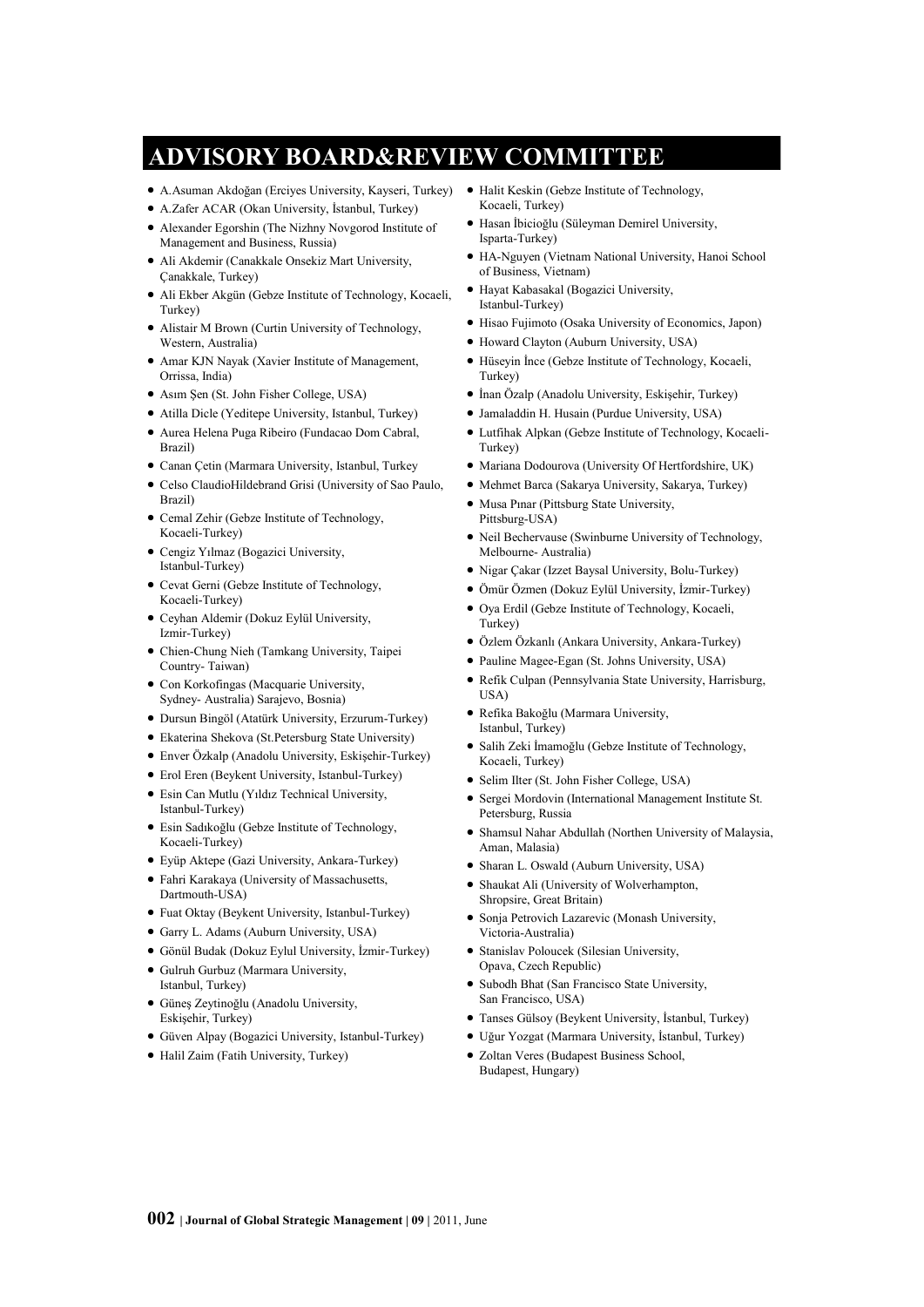# **ADVISORY BOARD&REVIEW COMMITTEE**

- A.Asuman Akdoğan (Erciyes University, Kayseri, Turkey)
- A.Zafer ACAR (Okan University, İstanbul, Turkey)
- Alexander Egorshin (The Nizhny Novgorod Institute of Management and Business, Russia)
- Ali Akdemir (Canakkale Onsekiz Mart University, Çanakkale, Turkey)
- Ali Ekber Akgün (Gebze Institute of Technology, Kocaeli, Turkey)
- Alistair M Brown (Curtin University of Technology, Western, Australia)
- Amar KJN Nayak (Xavier Institute of Management, Orrissa, India)
- Asım Şen (St. John Fisher College, USA)
- Atilla Dicle (Yeditepe University, Istanbul, Turkey)
- Aurea Helena Puga Ribeiro (Fundacao Dom Cabral, Brazil)
- Canan Çetin (Marmara University, Istanbul, Turkey
- Celso ClaudioHildebrand Grisi (University of Sao Paulo, Brazil)
- Cemal Zehir (Gebze Institute of Technology, Kocaeli-Turkey)
- Cengiz Yılmaz (Bogazici University, Istanbul-Turkey)
- Cevat Gerni (Gebze Institute of Technology, Kocaeli-Turkey)
- Ceyhan Aldemir (Dokuz Eylül University, Izmir-Turkey)
- Chien-Chung Nieh (Tamkang University, Taipei Country- Taiwan)
- Con Korkofingas (Macquarie University, Sydney- Australia) Sarajevo, Bosnia)
- Dursun Bingöl (Atatürk University, Erzurum-Turkey)
- Ekaterina Shekova (St.Petersburg State University)
- Enver Özkalp (Anadolu University, Eskişehir-Turkey)
- Erol Eren (Beykent University, Istanbul-Turkey)
- Esin Can Mutlu (Yıldız Technical University, Istanbul-Turkey)
- Esin Sadıkoğlu (Gebze Institute of Technology, Kocaeli-Turkey)
- Eyüp Aktepe (Gazi University, Ankara-Turkey)
- Fahri Karakaya (University of Massachusetts, Dartmouth-USA)
- Fuat Oktay (Beykent University, Istanbul-Turkey)
- Garry L. Adams (Auburn University, USA)
- Gönül Budak (Dokuz Eylul University, İzmir-Turkey)
- Gulruh Gurbuz (Marmara University, Istanbul, Turkey)
- Güneş Zeytinoğlu (Anadolu University, Eskişehir, Turkey)
- Güven Alpay (Bogazici University, Istanbul-Turkey)
- Halil Zaim (Fatih University, Turkey)
- Halit Keskin (Gebze Institute of Technology, Kocaeli, Turkey)
- Hasan İbicioğlu (Süleyman Demirel University, Isparta-Turkey)
- HA-Nguyen (Vietnam National University, Hanoi School of Business, Vietnam)
- Hayat Kabasakal (Bogazici University, Istanbul-Turkey)
- Hisao Fujimoto (Osaka University of Economics, Japon)
- Howard Clayton (Auburn University, USA)
- Hüseyin İnce (Gebze Institute of Technology, Kocaeli, Turkey)
- İnan Özalp (Anadolu University, Eskişehir, Turkey)
- Jamaladdin H. Husain (Purdue University, USA)
- Lutfihak Alpkan (Gebze Institute of Technology, Kocaeli-Turkey)
- Mariana Dodourova (University Of Hertfordshire, UK)
- Mehmet Barca (Sakarya University, Sakarya, Turkey)
- Musa Pınar (Pittsburg State University, Pittsburg-USA)
- Neil Bechervause (Swinburne University of Technology, Melbourne- Australia)
- Nigar Cakar (Izzet Baysal University, Bolu-Turkey)
- Ömür Özmen (Dokuz Eylül University, İzmir-Turkey)
- Oya Erdil (Gebze Institute of Technology, Kocaeli, Turkey)
- Özlem Özkanlı (Ankara University, Ankara-Turkey)
- Pauline Magee-Egan (St. Johns University, USA)
- Refik Culpan (Pennsylvania State University, Harrisburg, USA)
- Refika Bakoğlu (Marmara University, Istanbul, Turkey)
- Salih Zeki İmamoğlu (Gebze Institute of Technology, Kocaeli, Turkey)
- Selim Ilter (St. John Fisher College, USA)
- Sergei Mordovin (International Management Institute St. Petersburg, Russia
- Shamsul Nahar Abdullah (Northen University of Malaysia, Aman, Malasia)
- Sharan L. Oswald (Auburn University, USA)
- Shaukat Ali (University of Wolverhampton, Shropsire, Great Britain)
- Sonja Petrovich Lazarevic (Monash University, Victoria-Australia)
- Stanislav Poloucek (Silesian University, Opava, Czech Republic)
- Subodh Bhat (San Francisco State University, San Francisco, USA)
- Tanses Gülsoy (Beykent University, İstanbul, Turkey)
- Uğur Yozgat (Marmara University, İstanbul, Turkey)
- Zoltan Veres (Budapest Business School, Budapest, Hungary)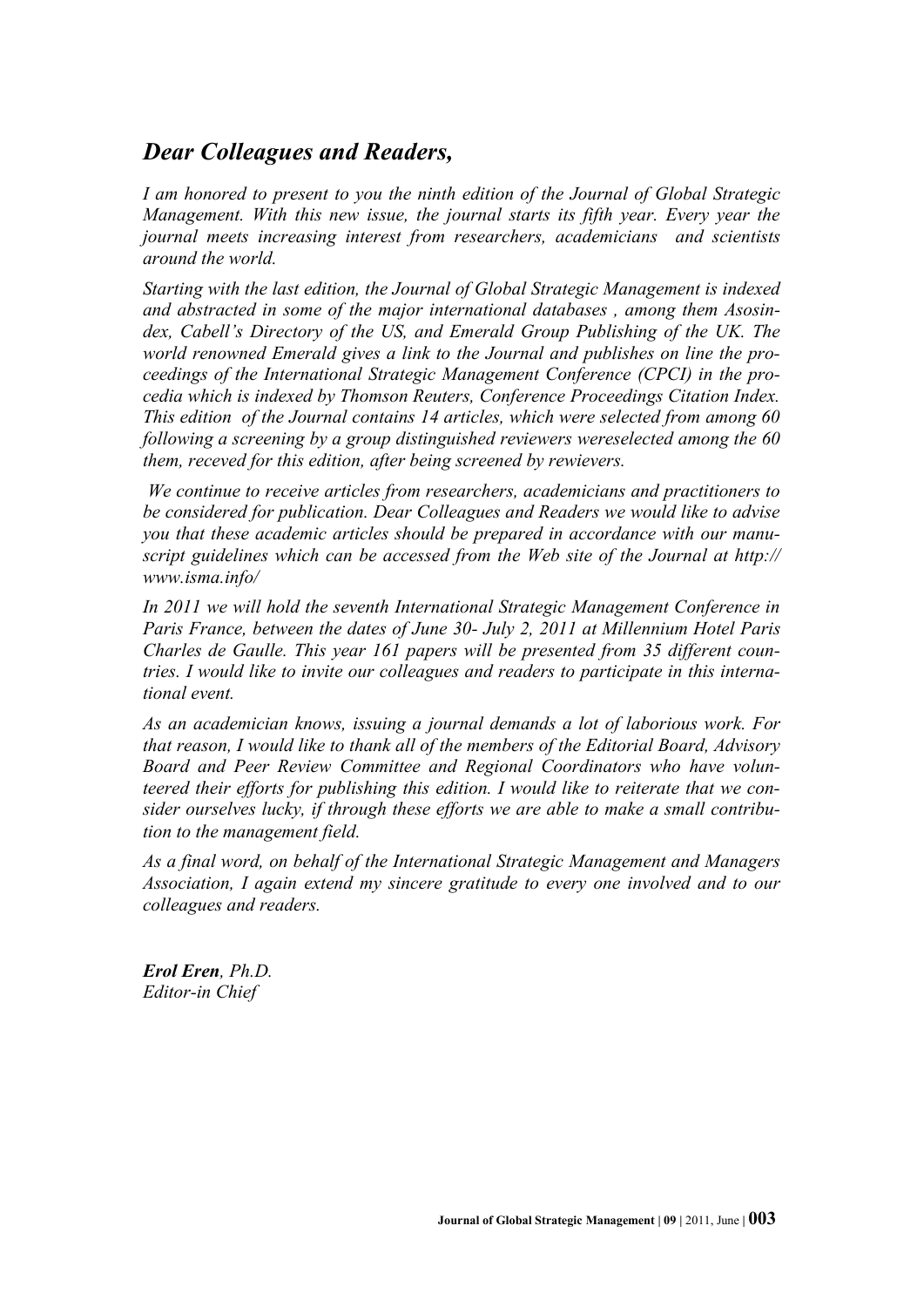## *Dear Colleagues and Readers,*

*I am honored to present to you the ninth edition of the Journal of Global Strategic Management. With this new issue, the journal starts its fifth year. Every year the journal meets increasing interest from researchers, academicians and scientists around the world.*

*Starting with the last edition, the Journal of Global Strategic Management is indexed and abstracted in some of the major international databases , among them Asosindex, Cabell's Directory of the US, and Emerald Group Publishing of the UK. The world renowned Emerald gives a link to the Journal and publishes on line the proceedings of the International Strategic Management Conference (CPCI) in the procedia which is indexed by Thomson Reuters, Conference Proceedings Citation Index. This edition of the Journal contains 14 articles, which were selected from among 60 following a screening by a group distinguished reviewers wereselected among the 60 them, receved for this edition, after being screened by rewievers.*

*We continue to receive articles from researchers, academicians and practitioners to be considered for publication. Dear Colleagues and Readers we would like to advise you that these academic articles should be prepared in accordance with our manuscript guidelines which can be accessed from the Web site of the Journal at http:// www.isma.info/*

*In 2011 we will hold the seventh International Strategic Management Conference in Paris France, between the dates of June 30- July 2, 2011 at Millennium Hotel Paris Charles de Gaulle. This year 161 papers will be presented from 35 different countries. I would like to invite our colleagues and readers to participate in this international event.*

*As an academician knows, issuing a journal demands a lot of laborious work. For that reason, I would like to thank all of the members of the Editorial Board, Advisory Board and Peer Review Committee and Regional Coordinators who have volunteered their efforts for publishing this edition. I would like to reiterate that we consider ourselves lucky, if through these efforts we are able to make a small contribution to the management field.* 

*As a final word, on behalf of the International Strategic Management and Managers Association, I again extend my sincere gratitude to every one involved and to our colleagues and readers.* 

*Erol Eren, Ph.D. Editor-in Chief*